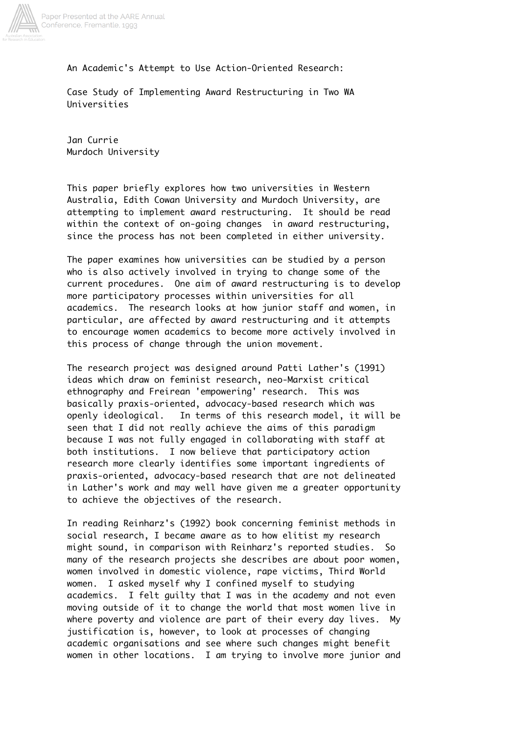

An Academic's Attempt to Use Action-Oriented Research:

Case Study of Implementing Award Restructuring in Two WA Universities

Jan Currie Murdoch University

This paper briefly explores how two universities in Western Australia, Edith Cowan University and Murdoch University, are attempting to implement award restructuring. It should be read within the context of on-going changes in award restructuring, since the process has not been completed in either university.

The paper examines how universities can be studied by a person who is also actively involved in trying to change some of the current procedures. One aim of award restructuring is to develop more participatory processes within universities for all academics. The research looks at how junior staff and women, in particular, are affected by award restructuring and it attempts to encourage women academics to become more actively involved in this process of change through the union movement.

The research project was designed around Patti Lather's (1991) ideas which draw on feminist research, neo-Marxist critical ethnography and Freirean 'empowering' research. This was basically praxis-oriented, advocacy-based research which was openly ideological. In terms of this research model, it will be seen that I did not really achieve the aims of this paradigm because I was not fully engaged in collaborating with staff at both institutions. I now believe that participatory action research more clearly identifies some important ingredients of praxis-oriented, advocacy-based research that are not delineated in Lather's work and may well have given me a greater opportunity to achieve the objectives of the research.

In reading Reinharz's (1992) book concerning feminist methods in social research, I became aware as to how elitist my research might sound, in comparison with Reinharz's reported studies. So many of the research projects she describes are about poor women, women involved in domestic violence, rape victims, Third World women. I asked myself why I confined myself to studying academics. I felt guilty that I was in the academy and not even moving outside of it to change the world that most women live in where poverty and violence are part of their every day lives. My justification is, however, to look at processes of changing academic organisations and see where such changes might benefit women in other locations. I am trying to involve more junior and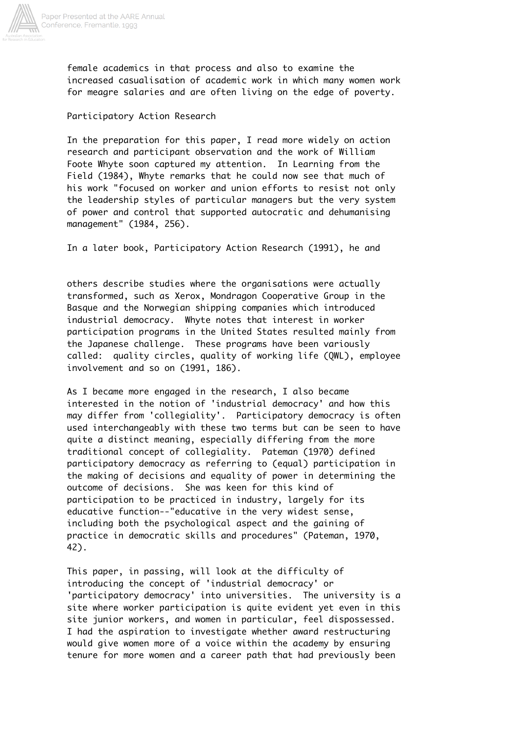

female academics in that process and also to examine the increased casualisation of academic work in which many women work for meagre salaries and are often living on the edge of poverty.

## Participatory Action Research

In the preparation for this paper, I read more widely on action research and participant observation and the work of William Foote Whyte soon captured my attention. In Learning from the Field (1984), Whyte remarks that he could now see that much of his work "focused on worker and union efforts to resist not only the leadership styles of particular managers but the very system of power and control that supported autocratic and dehumanising management" (1984, 256).

In a later book, Participatory Action Research (1991), he and

others describe studies where the organisations were actually transformed, such as Xerox, Mondragon Cooperative Group in the Basque and the Norwegian shipping companies which introduced industrial democracy. Whyte notes that interest in worker participation programs in the United States resulted mainly from the Japanese challenge. These programs have been variously called: quality circles, quality of working life (QWL), employee involvement and so on (1991, 186).

As I became more engaged in the research, I also became interested in the notion of 'industrial democracy' and how this may differ from 'collegiality'. Participatory democracy is often used interchangeably with these two terms but can be seen to have quite a distinct meaning, especially differing from the more traditional concept of collegiality. Pateman (1970) defined participatory democracy as referring to (equal) participation in the making of decisions and equality of power in determining the outcome of decisions. She was keen for this kind of participation to be practiced in industry, largely for its educative function--"educative in the very widest sense, including both the psychological aspect and the gaining of practice in democratic skills and procedures" (Pateman, 1970, 42).

This paper, in passing, will look at the difficulty of introducing the concept of 'industrial democracy' or 'participatory democracy' into universities. The university is a site where worker participation is quite evident yet even in this site junior workers, and women in particular, feel dispossessed. I had the aspiration to investigate whether award restructuring would give women more of a voice within the academy by ensuring tenure for more women and a career path that had previously been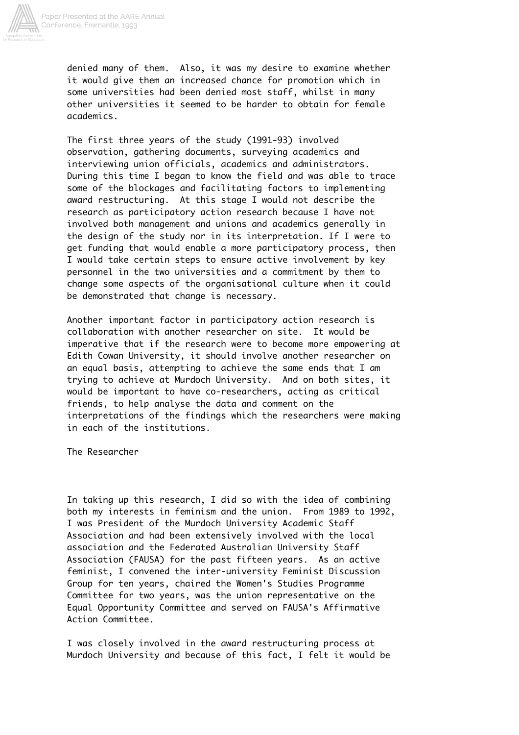

denied many of them. Also, it was my desire to examine whether it would give them an increased chance for promotion which in some universities had been denied most staff, whilst in many other universities it seemed to be harder to obtain for female academics.

The first three years of the study (1991-93) involved observation, gathering documents, surveying academics and interviewing union officials, academics and administrators. During this time I began to know the field and was able to trace some of the blockages and facilitating factors to implementing award restructuring. At this stage I would not describe the research as participatory action research because I have not involved both management and unions and academics generally in the design of the study nor in its interpretation. If I were to get funding that would enable a more participatory process, then I would take certain steps to ensure active involvement by key personnel in the two universities and a commitment by them to change some aspects of the organisational culture when it could be demonstrated that change is necessary.

Another important factor in participatory action research is collaboration with another researcher on site. It would be imperative that if the research were to become more empowering at Edith Cowan University, it should involve another researcher on an equal basis, attempting to achieve the same ends that I am trying to achieve at Murdoch University. And on both sites, it would be important to have co-researchers, acting as critical friends, to help analyse the data and comment on the interpretations of the findings which the researchers were making in each of the institutions.

The Researcher

In taking up this research, I did so with the idea of combining both my interests in feminism and the union. From 1989 to 1992, I was President of the Murdoch University Academic Staff Association and had been extensively involved with the local association and the Federated Australian University Staff Association (FAUSA) for the past fifteen years. As an active feminist, I convened the inter-university Feminist Discussion Group for ten years, chaired the Women's Studies Programme Committee for two years, was the union representative on the Equal Opportunity Committee and served on FAUSA's Affirmative Action Committee.

I was closely involved in the award restructuring process at Murdoch University and because of this fact, I felt it would be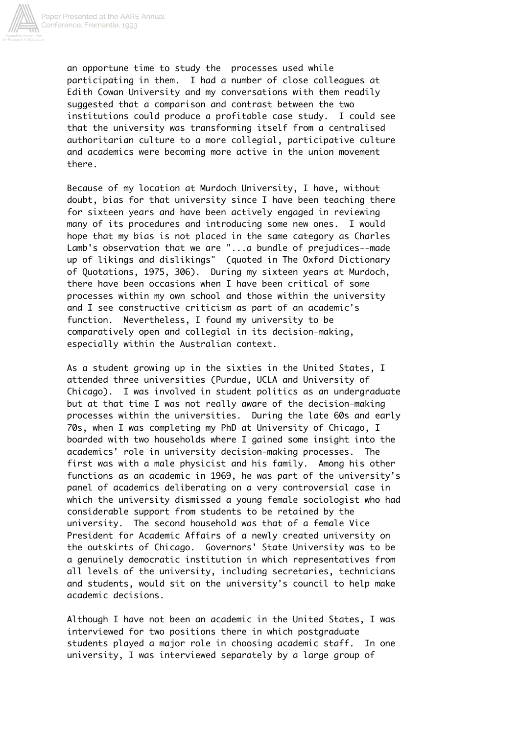

an opportune time to study the processes used while participating in them. I had a number of close colleagues at Edith Cowan University and my conversations with them readily suggested that a comparison and contrast between the two institutions could produce a profitable case study. I could see that the university was transforming itself from a centralised authoritarian culture to a more collegial, participative culture and academics were becoming more active in the union movement there.

Because of my location at Murdoch University, I have, without doubt, bias for that university since I have been teaching there for sixteen years and have been actively engaged in reviewing many of its procedures and introducing some new ones. I would hope that my bias is not placed in the same category as Charles Lamb's observation that we are "...a bundle of prejudices--made up of likings and dislikings" (quoted in The Oxford Dictionary of Quotations, 1975, 306). During my sixteen years at Murdoch, there have been occasions when I have been critical of some processes within my own school and those within the university and I see constructive criticism as part of an academic's function. Nevertheless, I found my university to be comparatively open and collegial in its decision-making, especially within the Australian context.

As a student growing up in the sixties in the United States, I attended three universities (Purdue, UCLA and University of Chicago). I was involved in student politics as an undergraduate but at that time I was not really aware of the decision-making processes within the universities. During the late 60s and early 70s, when I was completing my PhD at University of Chicago, I boarded with two households where I gained some insight into the academics' role in university decision-making processes. The first was with a male physicist and his family. Among his other functions as an academic in 1969, he was part of the university's panel of academics deliberating on a very controversial case in which the university dismissed a young female sociologist who had considerable support from students to be retained by the university. The second household was that of a female Vice President for Academic Affairs of a newly created university on the outskirts of Chicago. Governors' State University was to be a genuinely democratic institution in which representatives from all levels of the university, including secretaries, technicians and students, would sit on the university's council to help make academic decisions.

Although I have not been an academic in the United States, I was interviewed for two positions there in which postgraduate students played a major role in choosing academic staff. In one university, I was interviewed separately by a large group of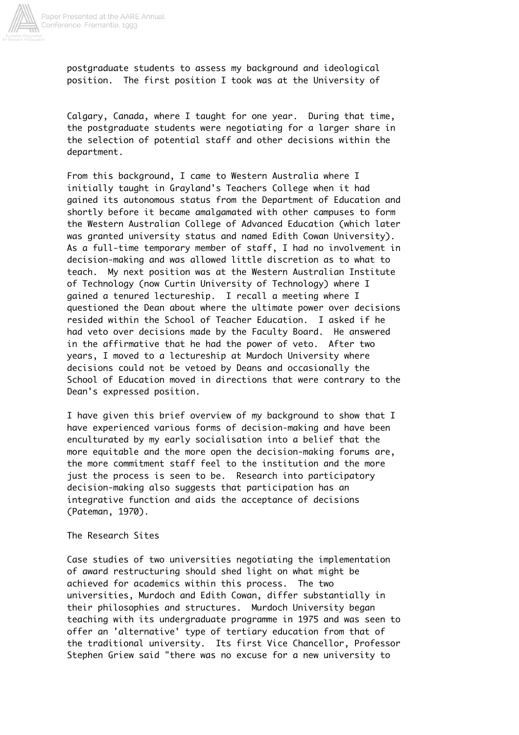

postgraduate students to assess my background and ideological position. The first position I took was at the University of

Calgary, Canada, where I taught for one year. During that time, the postgraduate students were negotiating for a larger share in the selection of potential staff and other decisions within the department.

From this background, I came to Western Australia where I initially taught in Grayland's Teachers College when it had gained its autonomous status from the Department of Education and shortly before it became amalgamated with other campuses to form the Western Australian College of Advanced Education (which later was granted university status and named Edith Cowan University). As a full-time temporary member of staff, I had no involvement in decision-making and was allowed little discretion as to what to teach. My next position was at the Western Australian Institute of Technology (now Curtin University of Technology) where I gained a tenured lectureship. I recall a meeting where I questioned the Dean about where the ultimate power over decisions resided within the School of Teacher Education. I asked if he had veto over decisions made by the Faculty Board. He answered in the affirmative that he had the power of veto. After two years, I moved to a lectureship at Murdoch University where decisions could not be vetoed by Deans and occasionally the School of Education moved in directions that were contrary to the Dean's expressed position.

I have given this brief overview of my background to show that I have experienced various forms of decision-making and have been enculturated by my early socialisation into a belief that the more equitable and the more open the decision-making forums are, the more commitment staff feel to the institution and the more just the process is seen to be. Research into participatory decision-making also suggests that participation has an integrative function and aids the acceptance of decisions (Pateman, 1970).

The Research Sites

Case studies of two universities negotiating the implementation of award restructuring should shed light on what might be achieved for academics within this process. The two universities, Murdoch and Edith Cowan, differ substantially in their philosophies and structures. Murdoch University began teaching with its undergraduate programme in 1975 and was seen to offer an 'alternative' type of tertiary education from that of the traditional university. Its first Vice Chancellor, Professor Stephen Griew said "there was no excuse for a new university to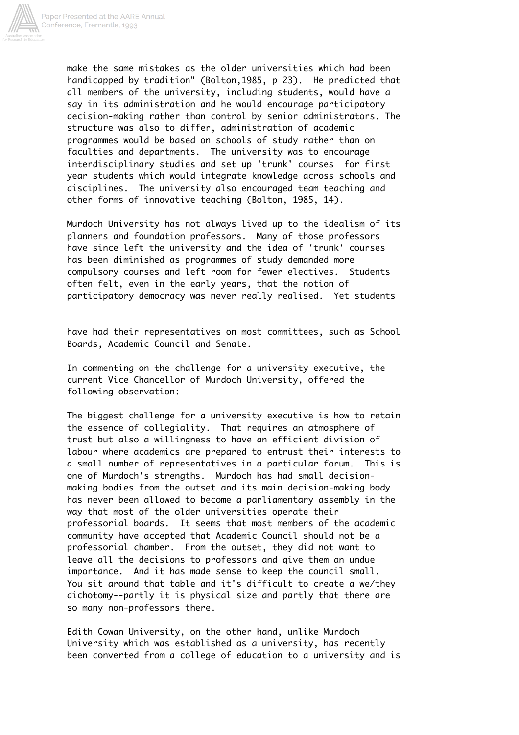

make the same mistakes as the older universities which had been handicapped by tradition" (Bolton,1985, p 23). He predicted that all members of the university, including students, would have a say in its administration and he would encourage participatory decision-making rather than control by senior administrators. The structure was also to differ, administration of academic programmes would be based on schools of study rather than on faculties and departments. The university was to encourage interdisciplinary studies and set up 'trunk' courses for first year students which would integrate knowledge across schools and disciplines. The university also encouraged team teaching and other forms of innovative teaching (Bolton, 1985, 14).

Murdoch University has not always lived up to the idealism of its planners and foundation professors. Many of those professors have since left the university and the idea of 'trunk' courses has been diminished as programmes of study demanded more compulsory courses and left room for fewer electives. Students often felt, even in the early years, that the notion of participatory democracy was never really realised. Yet students

have had their representatives on most committees, such as School Boards, Academic Council and Senate.

In commenting on the challenge for a university executive, the current Vice Chancellor of Murdoch University, offered the following observation:

The biggest challenge for a university executive is how to retain the essence of collegiality. That requires an atmosphere of trust but also a willingness to have an efficient division of labour where academics are prepared to entrust their interests to a small number of representatives in a particular forum. This is one of Murdoch's strengths. Murdoch has had small decisionmaking bodies from the outset and its main decision-making body has never been allowed to become a parliamentary assembly in the way that most of the older universities operate their professorial boards. It seems that most members of the academic community have accepted that Academic Council should not be a professorial chamber. From the outset, they did not want to leave all the decisions to professors and give them an undue importance. And it has made sense to keep the council small. You sit around that table and it's difficult to create a we/they dichotomy--partly it is physical size and partly that there are so many non-professors there.

Edith Cowan University, on the other hand, unlike Murdoch University which was established as a university, has recently been converted from a college of education to a university and is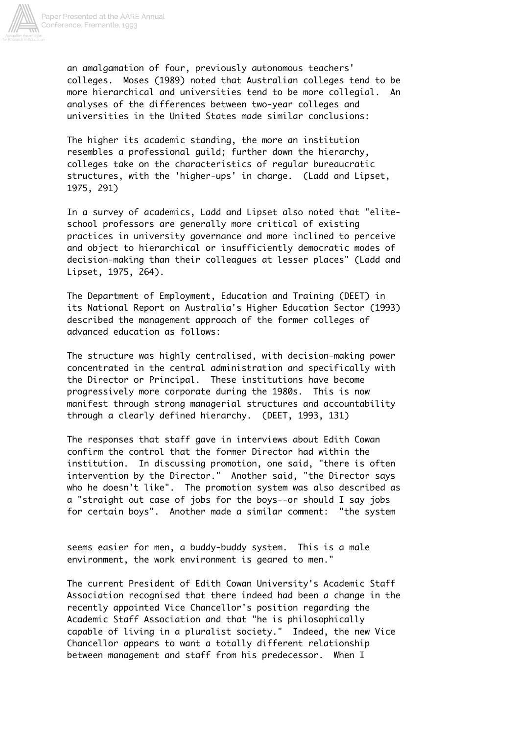

an amalgamation of four, previously autonomous teachers' colleges. Moses (1989) noted that Australian colleges tend to be more hierarchical and universities tend to be more collegial. An analyses of the differences between two-year colleges and universities in the United States made similar conclusions:

The higher its academic standing, the more an institution resembles a professional guild; further down the hierarchy, colleges take on the characteristics of regular bureaucratic structures, with the 'higher-ups' in charge. (Ladd and Lipset, 1975, 291)

In a survey of academics, Ladd and Lipset also noted that "eliteschool professors are generally more critical of existing practices in university governance and more inclined to perceive and object to hierarchical or insufficiently democratic modes of decision-making than their colleagues at lesser places" (Ladd and Lipset, 1975, 264).

The Department of Employment, Education and Training (DEET) in its National Report on Australia's Higher Education Sector (1993) described the management approach of the former colleges of advanced education as follows:

The structure was highly centralised, with decision-making power concentrated in the central administration and specifically with the Director or Principal. These institutions have become progressively more corporate during the 1980s. This is now manifest through strong managerial structures and accountability through a clearly defined hierarchy. (DEET, 1993, 131)

The responses that staff gave in interviews about Edith Cowan confirm the control that the former Director had within the institution. In discussing promotion, one said, "there is often intervention by the Director." Another said, "the Director says who he doesn't like". The promotion system was also described as a "straight out case of jobs for the boys--or should I say jobs for certain boys". Another made a similar comment: "the system

seems easier for men, a buddy-buddy system. This is a male environment, the work environment is geared to men."

The current President of Edith Cowan University's Academic Staff Association recognised that there indeed had been a change in the recently appointed Vice Chancellor's position regarding the Academic Staff Association and that "he is philosophically capable of living in a pluralist society." Indeed, the new Vice Chancellor appears to want a totally different relationship between management and staff from his predecessor. When I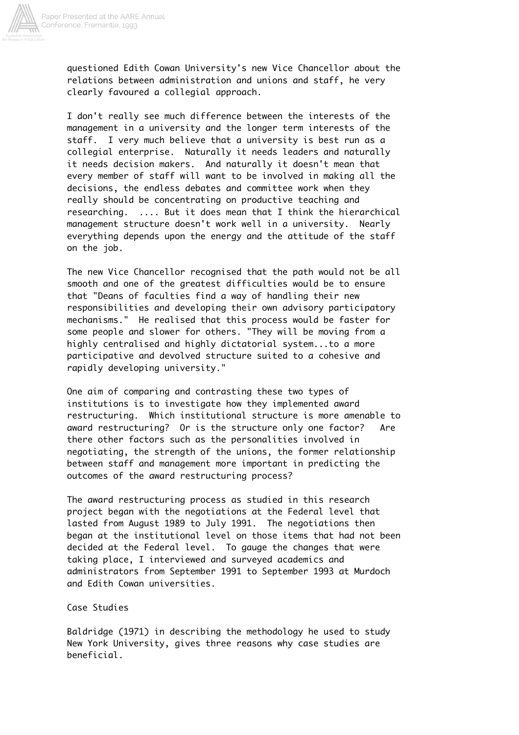

questioned Edith Cowan University's new Vice Chancellor about the relations between administration and unions and staff, he very clearly favoured a collegial approach.

I don't really see much difference between the interests of the management in a university and the longer term interests of the staff. I very much believe that a university is best run as a collegial enterprise. Naturally it needs leaders and naturally it needs decision makers. And naturally it doesn't mean that every member of staff will want to be involved in making all the decisions, the endless debates and committee work when they really should be concentrating on productive teaching and researching. .... But it does mean that I think the hierarchical management structure doesn't work well in a university. Nearly everything depends upon the energy and the attitude of the staff on the job.

The new Vice Chancellor recognised that the path would not be all smooth and one of the greatest difficulties would be to ensure that "Deans of faculties find a way of handling their new responsibilities and developing their own advisory participatory mechanisms." He realised that this process would be faster for some people and slower for others. "They will be moving from a highly centralised and highly dictatorial system...to a more participative and devolved structure suited to a cohesive and rapidly developing university."

One aim of comparing and contrasting these two types of institutions is to investigate how they implemented award restructuring. Which institutional structure is more amenable to award restructuring? Or is the structure only one factor? Are there other factors such as the personalities involved in negotiating, the strength of the unions, the former relationship between staff and management more important in predicting the outcomes of the award restructuring process?

The award restructuring process as studied in this research project began with the negotiations at the Federal level that lasted from August 1989 to July 1991. The negotiations then began at the institutional level on those items that had not been decided at the Federal level. To gauge the changes that were taking place, I interviewed and surveyed academics and administrators from September 1991 to September 1993 at Murdoch and Edith Cowan universities.

Case Studies

Baldridge (1971) in describing the methodology he used to study New York University, gives three reasons why case studies are beneficial.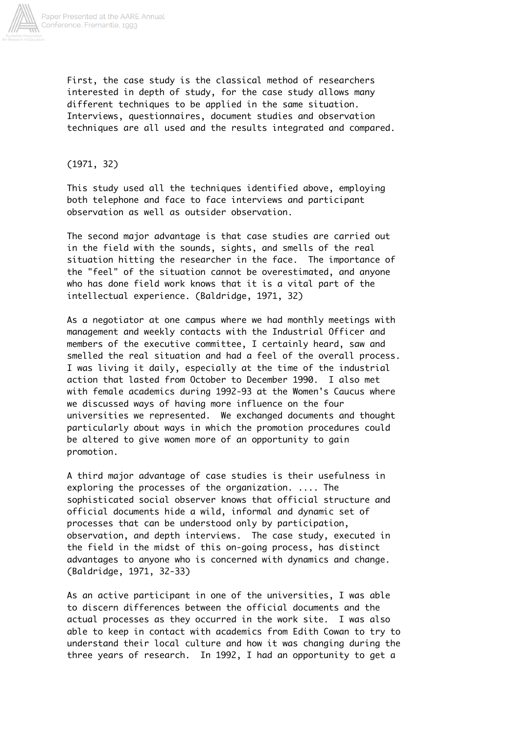

First, the case study is the classical method of researchers interested in depth of study, for the case study allows many different techniques to be applied in the same situation. Interviews, questionnaires, document studies and observation techniques are all used and the results integrated and compared.

(1971, 32)

This study used all the techniques identified above, employing both telephone and face to face interviews and participant observation as well as outsider observation.

The second major advantage is that case studies are carried out in the field with the sounds, sights, and smells of the real situation hitting the researcher in the face. The importance of the "feel" of the situation cannot be overestimated, and anyone who has done field work knows that it is a vital part of the intellectual experience. (Baldridge, 1971, 32)

As a negotiator at one campus where we had monthly meetings with management and weekly contacts with the Industrial Officer and members of the executive committee, I certainly heard, saw and smelled the real situation and had a feel of the overall process. I was living it daily, especially at the time of the industrial action that lasted from October to December 1990. I also met with female academics during 1992-93 at the Women's Caucus where we discussed ways of having more influence on the four universities we represented. We exchanged documents and thought particularly about ways in which the promotion procedures could be altered to give women more of an opportunity to gain promotion.

A third major advantage of case studies is their usefulness in exploring the processes of the organization. .... The sophisticated social observer knows that official structure and official documents hide a wild, informal and dynamic set of processes that can be understood only by participation, observation, and depth interviews. The case study, executed in the field in the midst of this on-going process, has distinct advantages to anyone who is concerned with dynamics and change. (Baldridge, 1971, 32-33)

As an active participant in one of the universities, I was able to discern differences between the official documents and the actual processes as they occurred in the work site. I was also able to keep in contact with academics from Edith Cowan to try to understand their local culture and how it was changing during the three years of research. In 1992, I had an opportunity to get a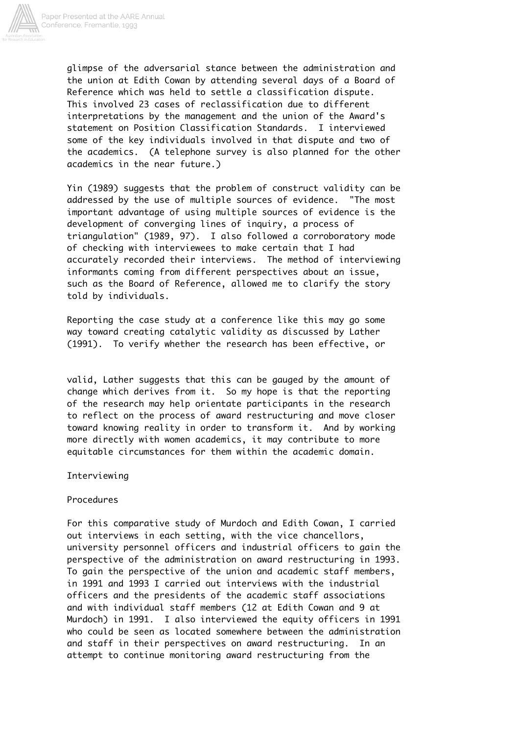

glimpse of the adversarial stance between the administration and the union at Edith Cowan by attending several days of a Board of Reference which was held to settle a classification dispute. This involved 23 cases of reclassification due to different interpretations by the management and the union of the Award's statement on Position Classification Standards. I interviewed some of the key individuals involved in that dispute and two of the academics. (A telephone survey is also planned for the other academics in the near future.)

Yin (1989) suggests that the problem of construct validity can be addressed by the use of multiple sources of evidence. "The most important advantage of using multiple sources of evidence is the development of converging lines of inquiry, a process of triangulation" (1989, 97). I also followed a corroboratory mode of checking with interviewees to make certain that I had accurately recorded their interviews. The method of interviewing informants coming from different perspectives about an issue, such as the Board of Reference, allowed me to clarify the story told by individuals.

Reporting the case study at a conference like this may go some way toward creating catalytic validity as discussed by Lather (1991). To verify whether the research has been effective, or

valid, Lather suggests that this can be gauged by the amount of change which derives from it. So my hope is that the reporting of the research may help orientate participants in the research to reflect on the process of award restructuring and move closer toward knowing reality in order to transform it. And by working more directly with women academics, it may contribute to more equitable circumstances for them within the academic domain.

Interviewing

## Procedures

For this comparative study of Murdoch and Edith Cowan, I carried out interviews in each setting, with the vice chancellors, university personnel officers and industrial officers to gain the perspective of the administration on award restructuring in 1993. To gain the perspective of the union and academic staff members, in 1991 and 1993 I carried out interviews with the industrial officers and the presidents of the academic staff associations and with individual staff members (12 at Edith Cowan and 9 at Murdoch) in 1991. I also interviewed the equity officers in 1991 who could be seen as located somewhere between the administration and staff in their perspectives on award restructuring. In an attempt to continue monitoring award restructuring from the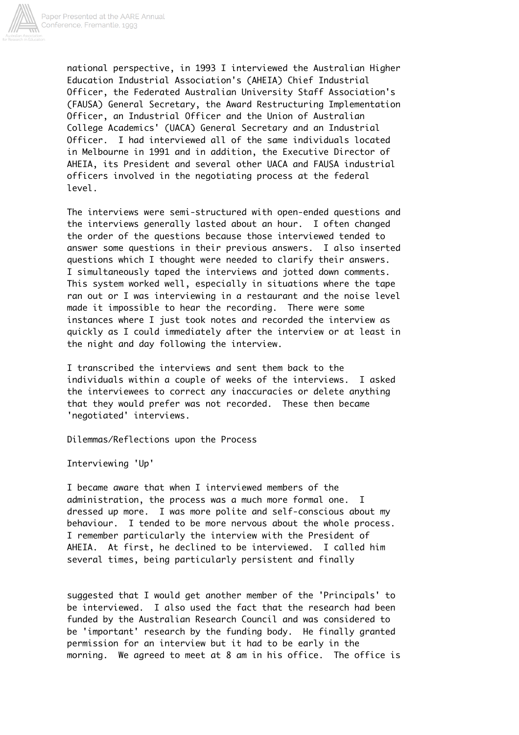

national perspective, in 1993 I interviewed the Australian Higher Education Industrial Association's (AHEIA) Chief Industrial Officer, the Federated Australian University Staff Association's (FAUSA) General Secretary, the Award Restructuring Implementation Officer, an Industrial Officer and the Union of Australian College Academics' (UACA) General Secretary and an Industrial Officer. I had interviewed all of the same individuals located in Melbourne in 1991 and in addition, the Executive Director of AHEIA, its President and several other UACA and FAUSA industrial officers involved in the negotiating process at the federal level.

The interviews were semi-structured with open-ended questions and the interviews generally lasted about an hour. I often changed the order of the questions because those interviewed tended to answer some questions in their previous answers. I also inserted questions which I thought were needed to clarify their answers. I simultaneously taped the interviews and jotted down comments. This system worked well, especially in situations where the tape ran out or I was interviewing in a restaurant and the noise level made it impossible to hear the recording. There were some instances where I just took notes and recorded the interview as quickly as I could immediately after the interview or at least in the night and day following the interview.

I transcribed the interviews and sent them back to the individuals within a couple of weeks of the interviews. I asked the interviewees to correct any inaccuracies or delete anything that they would prefer was not recorded. These then became 'negotiated' interviews.

Dilemmas/Reflections upon the Process

Interviewing 'Up'

I became aware that when I interviewed members of the administration, the process was a much more formal one. I dressed up more. I was more polite and self-conscious about my behaviour. I tended to be more nervous about the whole process. I remember particularly the interview with the President of AHEIA. At first, he declined to be interviewed. I called him several times, being particularly persistent and finally

suggested that I would get another member of the 'Principals' to be interviewed. I also used the fact that the research had been funded by the Australian Research Council and was considered to be 'important' research by the funding body. He finally granted permission for an interview but it had to be early in the morning. We agreed to meet at 8 am in his office. The office is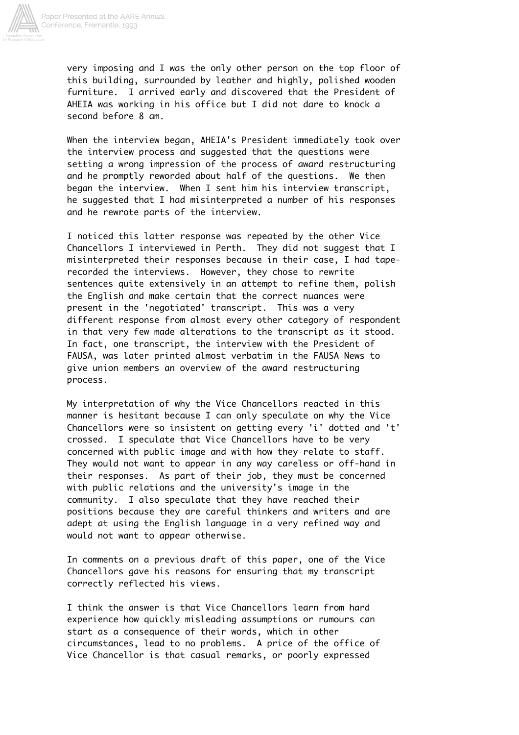

very imposing and I was the only other person on the top floor of this building, surrounded by leather and highly, polished wooden furniture. I arrived early and discovered that the President of AHEIA was working in his office but I did not dare to knock a second before 8 am.

When the interview began, AHEIA's President immediately took over the interview process and suggested that the questions were setting a wrong impression of the process of award restructuring and he promptly reworded about half of the questions. We then began the interview. When I sent him his interview transcript, he suggested that I had misinterpreted a number of his responses and he rewrote parts of the interview.

I noticed this latter response was repeated by the other Vice Chancellors I interviewed in Perth. They did not suggest that I misinterpreted their responses because in their case, I had taperecorded the interviews. However, they chose to rewrite sentences quite extensively in an attempt to refine them, polish the English and make certain that the correct nuances were present in the 'negotiated' transcript. This was a very different response from almost every other category of respondent in that very few made alterations to the transcript as it stood. In fact, one transcript, the interview with the President of FAUSA, was later printed almost verbatim in the FAUSA News to give union members an overview of the award restructuring process.

My interpretation of why the Vice Chancellors reacted in this manner is hesitant because I can only speculate on why the Vice Chancellors were so insistent on getting every 'i' dotted and 't' crossed. I speculate that Vice Chancellors have to be very concerned with public image and with how they relate to staff. They would not want to appear in any way careless or off-hand in their responses. As part of their job, they must be concerned with public relations and the university's image in the community. I also speculate that they have reached their positions because they are careful thinkers and writers and are adept at using the English language in a very refined way and would not want to appear otherwise.

In comments on a previous draft of this paper, one of the Vice Chancellors gave his reasons for ensuring that my transcript correctly reflected his views.

I think the answer is that Vice Chancellors learn from hard experience how quickly misleading assumptions or rumours can start as a consequence of their words, which in other circumstances, lead to no problems. A price of the office of Vice Chancellor is that casual remarks, or poorly expressed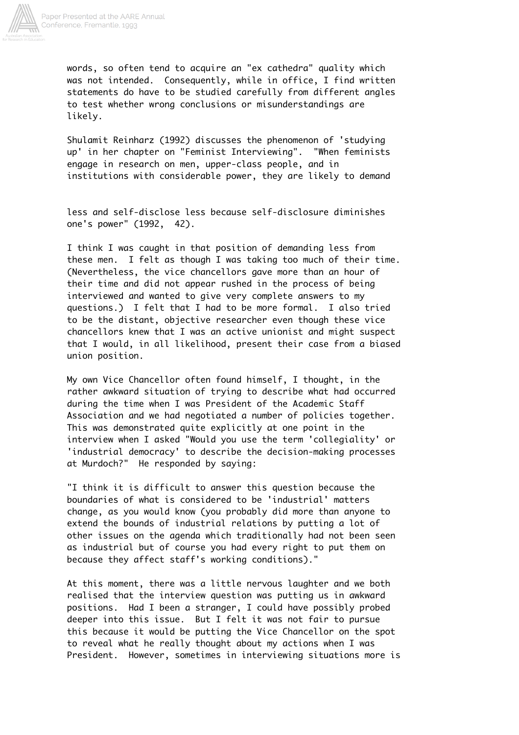

words, so often tend to acquire an "ex cathedra" quality which was not intended. Consequently, while in office, I find written statements do have to be studied carefully from different angles to test whether wrong conclusions or misunderstandings are likely.

Shulamit Reinharz (1992) discusses the phenomenon of 'studying up' in her chapter on "Feminist Interviewing". "When feminists engage in research on men, upper-class people, and in institutions with considerable power, they are likely to demand

less and self-disclose less because self-disclosure diminishes one's power" (1992, 42).

I think I was caught in that position of demanding less from these men. I felt as though I was taking too much of their time. (Nevertheless, the vice chancellors gave more than an hour of their time and did not appear rushed in the process of being interviewed and wanted to give very complete answers to my questions.) I felt that I had to be more formal. I also tried to be the distant, objective researcher even though these vice chancellors knew that I was an active unionist and might suspect that I would, in all likelihood, present their case from a biased union position.

My own Vice Chancellor often found himself, I thought, in the rather awkward situation of trying to describe what had occurred during the time when I was President of the Academic Staff Association and we had negotiated a number of policies together. This was demonstrated quite explicitly at one point in the interview when I asked "Would you use the term 'collegiality' or 'industrial democracy' to describe the decision-making processes at Murdoch?" He responded by saying:

"I think it is difficult to answer this question because the boundaries of what is considered to be 'industrial' matters change, as you would know (you probably did more than anyone to extend the bounds of industrial relations by putting a lot of other issues on the agenda which traditionally had not been seen as industrial but of course you had every right to put them on because they affect staff's working conditions)."

At this moment, there was a little nervous laughter and we both realised that the interview question was putting us in awkward positions. Had I been a stranger, I could have possibly probed deeper into this issue. But I felt it was not fair to pursue this because it would be putting the Vice Chancellor on the spot to reveal what he really thought about my actions when I was President. However, sometimes in interviewing situations more is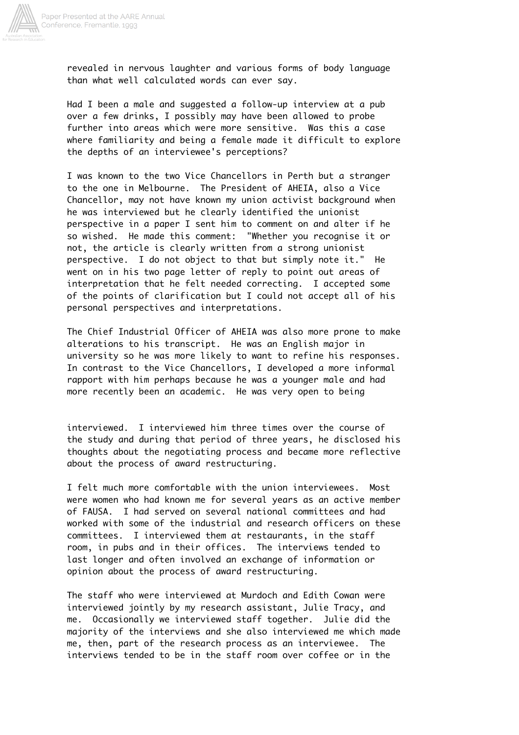

revealed in nervous laughter and various forms of body language than what well calculated words can ever say.

Had I been a male and suggested a follow-up interview at a pub over a few drinks, I possibly may have been allowed to probe further into areas which were more sensitive. Was this a case where familiarity and being a female made it difficult to explore the depths of an interviewee's perceptions?

I was known to the two Vice Chancellors in Perth but a stranger to the one in Melbourne. The President of AHEIA, also a Vice Chancellor, may not have known my union activist background when he was interviewed but he clearly identified the unionist perspective in a paper I sent him to comment on and alter if he so wished. He made this comment: "Whether you recognise it or not, the article is clearly written from a strong unionist perspective. I do not object to that but simply note it." He went on in his two page letter of reply to point out areas of interpretation that he felt needed correcting. I accepted some of the points of clarification but I could not accept all of his personal perspectives and interpretations.

The Chief Industrial Officer of AHEIA was also more prone to make alterations to his transcript. He was an English major in university so he was more likely to want to refine his responses. In contrast to the Vice Chancellors, I developed a more informal rapport with him perhaps because he was a younger male and had more recently been an academic. He was very open to being

interviewed. I interviewed him three times over the course of the study and during that period of three years, he disclosed his thoughts about the negotiating process and became more reflective about the process of award restructuring.

I felt much more comfortable with the union interviewees. Most were women who had known me for several years as an active member of FAUSA. I had served on several national committees and had worked with some of the industrial and research officers on these committees. I interviewed them at restaurants, in the staff room, in pubs and in their offices. The interviews tended to last longer and often involved an exchange of information or opinion about the process of award restructuring.

The staff who were interviewed at Murdoch and Edith Cowan were interviewed jointly by my research assistant, Julie Tracy, and me. Occasionally we interviewed staff together. Julie did the majority of the interviews and she also interviewed me which made me, then, part of the research process as an interviewee. The interviews tended to be in the staff room over coffee or in the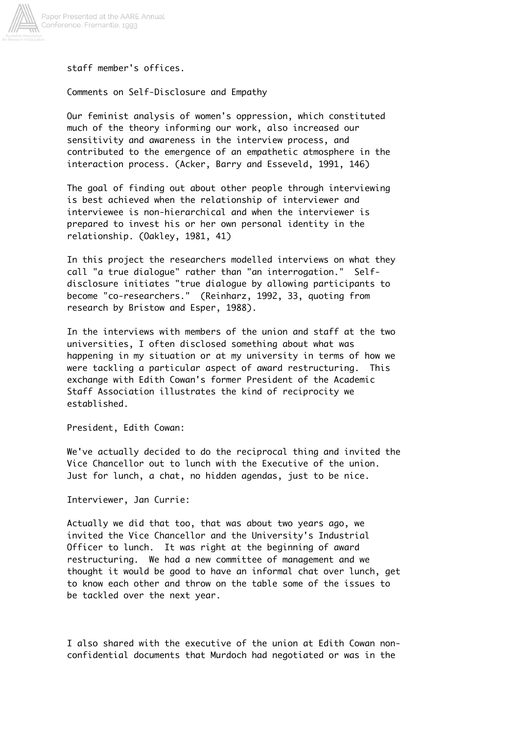

staff member's offices.

Comments on Self-Disclosure and Empathy

Our feminist analysis of women's oppression, which constituted much of the theory informing our work, also increased our sensitivity and awareness in the interview process, and contributed to the emergence of an empathetic atmosphere in the interaction process. (Acker, Barry and Esseveld, 1991, 146)

The goal of finding out about other people through interviewing is best achieved when the relationship of interviewer and interviewee is non-hierarchical and when the interviewer is prepared to invest his or her own personal identity in the relationship. (Oakley, 1981, 41)

In this project the researchers modelled interviews on what they call "a true dialogue" rather than "an interrogation." Selfdisclosure initiates "true dialogue by allowing participants to become "co-researchers." (Reinharz, 1992, 33, quoting from research by Bristow and Esper, 1988).

In the interviews with members of the union and staff at the two universities, I often disclosed something about what was happening in my situation or at my university in terms of how we were tackling a particular aspect of award restructuring. This exchange with Edith Cowan's former President of the Academic Staff Association illustrates the kind of reciprocity we established.

President, Edith Cowan:

We've actually decided to do the reciprocal thing and invited the Vice Chancellor out to lunch with the Executive of the union. Just for lunch, a chat, no hidden agendas, just to be nice.

Interviewer, Jan Currie:

Actually we did that too, that was about two years ago, we invited the Vice Chancellor and the University's Industrial Officer to lunch. It was right at the beginning of award restructuring. We had a new committee of management and we thought it would be good to have an informal chat over lunch, get to know each other and throw on the table some of the issues to be tackled over the next year.

I also shared with the executive of the union at Edith Cowan nonconfidential documents that Murdoch had negotiated or was in the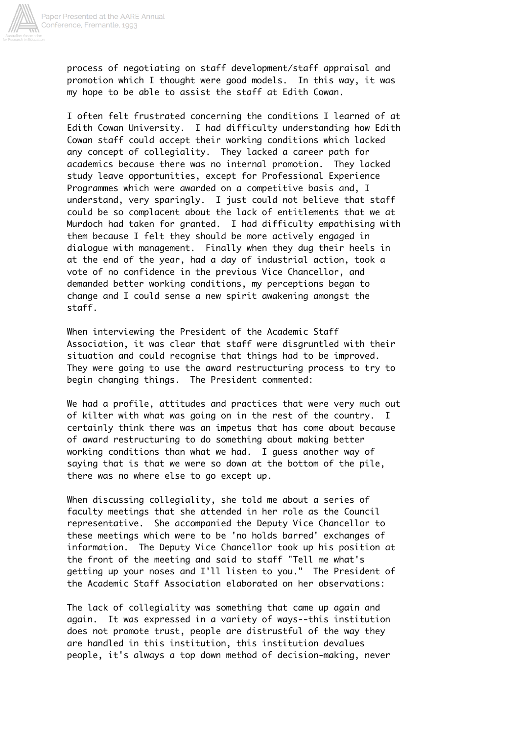

process of negotiating on staff development/staff appraisal and promotion which I thought were good models. In this way, it was my hope to be able to assist the staff at Edith Cowan.

I often felt frustrated concerning the conditions I learned of at Edith Cowan University. I had difficulty understanding how Edith Cowan staff could accept their working conditions which lacked any concept of collegiality. They lacked a career path for academics because there was no internal promotion. They lacked study leave opportunities, except for Professional Experience Programmes which were awarded on a competitive basis and, I understand, very sparingly. I just could not believe that staff could be so complacent about the lack of entitlements that we at Murdoch had taken for granted. I had difficulty empathising with them because I felt they should be more actively engaged in dialogue with management. Finally when they dug their heels in at the end of the year, had a day of industrial action, took a vote of no confidence in the previous Vice Chancellor, and demanded better working conditions, my perceptions began to change and I could sense a new spirit awakening amongst the staff.

When interviewing the President of the Academic Staff Association, it was clear that staff were disgruntled with their situation and could recognise that things had to be improved. They were going to use the award restructuring process to try to begin changing things. The President commented:

We had a profile, attitudes and practices that were very much out of kilter with what was going on in the rest of the country. I certainly think there was an impetus that has come about because of award restructuring to do something about making better working conditions than what we had. I guess another way of saying that is that we were so down at the bottom of the pile, there was no where else to go except up.

When discussing collegiality, she told me about a series of faculty meetings that she attended in her role as the Council representative. She accompanied the Deputy Vice Chancellor to these meetings which were to be 'no holds barred' exchanges of information. The Deputy Vice Chancellor took up his position at the front of the meeting and said to staff "Tell me what's getting up your noses and I'll listen to you." The President of the Academic Staff Association elaborated on her observations:

The lack of collegiality was something that came up again and again. It was expressed in a variety of ways--this institution does not promote trust, people are distrustful of the way they are handled in this institution, this institution devalues people, it's always a top down method of decision-making, never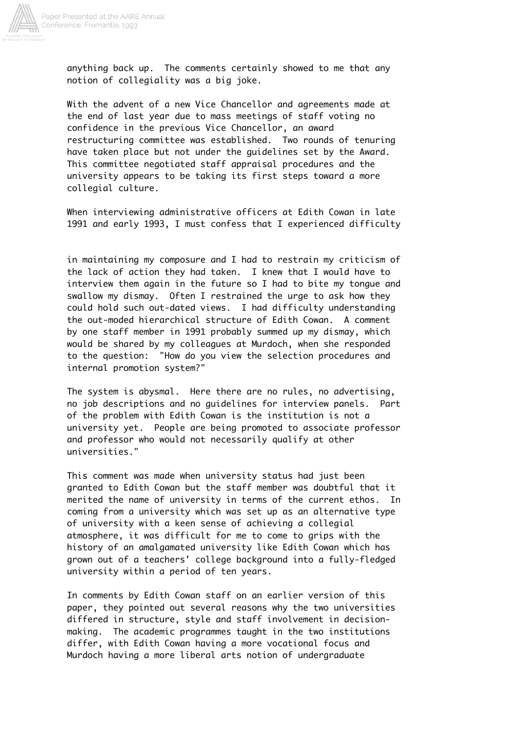

anything back up. The comments certainly showed to me that any notion of collegiality was a big joke.

With the advent of a new Vice Chancellor and agreements made at the end of last year due to mass meetings of staff voting no confidence in the previous Vice Chancellor, an award restructuring committee was established. Two rounds of tenuring have taken place but not under the guidelines set by the Award. This committee negotiated staff appraisal procedures and the university appears to be taking its first steps toward a more collegial culture.

When interviewing administrative officers at Edith Cowan in late 1991 and early 1993, I must confess that I experienced difficulty

in maintaining my composure and I had to restrain my criticism of the lack of action they had taken. I knew that I would have to interview them again in the future so I had to bite my tongue and swallow my dismay. Often I restrained the urge to ask how they could hold such out-dated views. I had difficulty understanding the out-moded hierarchical structure of Edith Cowan. A comment by one staff member in 1991 probably summed up my dismay, which would be shared by my colleagues at Murdoch, when she responded to the question: "How do you view the selection procedures and internal promotion system?"

The system is abysmal. Here there are no rules, no advertising, no job descriptions and no guidelines for interview panels. Part of the problem with Edith Cowan is the institution is not a university yet. People are being promoted to associate professor and professor who would not necessarily qualify at other universities."

This comment was made when university status had just been granted to Edith Cowan but the staff member was doubtful that it merited the name of university in terms of the current ethos. In coming from a university which was set up as an alternative type of university with a keen sense of achieving a collegial atmosphere, it was difficult for me to come to grips with the history of an amalgamated university like Edith Cowan which has grown out of a teachers' college background into a fully-fledged university within a period of ten years.

In comments by Edith Cowan staff on an earlier version of this paper, they pointed out several reasons why the two universities differed in structure, style and staff involvement in decisionmaking. The academic programmes taught in the two institutions differ, with Edith Cowan having a more vocational focus and Murdoch having a more liberal arts notion of undergraduate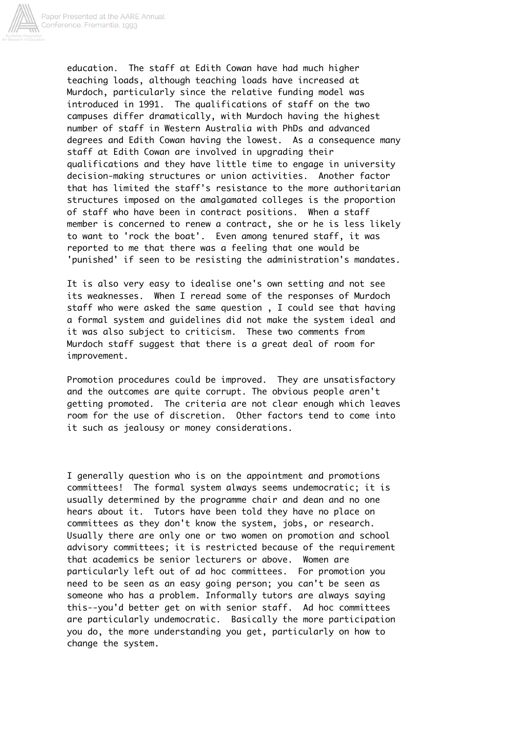

education. The staff at Edith Cowan have had much higher teaching loads, although teaching loads have increased at Murdoch, particularly since the relative funding model was introduced in 1991. The qualifications of staff on the two campuses differ dramatically, with Murdoch having the highest number of staff in Western Australia with PhDs and advanced degrees and Edith Cowan having the lowest. As a consequence many staff at Edith Cowan are involved in upgrading their qualifications and they have little time to engage in university decision-making structures or union activities. Another factor that has limited the staff's resistance to the more authoritarian structures imposed on the amalgamated colleges is the proportion of staff who have been in contract positions. When a staff member is concerned to renew a contract, she or he is less likely to want to 'rock the boat'. Even among tenured staff, it was reported to me that there was a feeling that one would be 'punished' if seen to be resisting the administration's mandates.

It is also very easy to idealise one's own setting and not see its weaknesses. When I reread some of the responses of Murdoch staff who were asked the same question , I could see that having a formal system and guidelines did not make the system ideal and it was also subject to criticism. These two comments from Murdoch staff suggest that there is a great deal of room for improvement.

Promotion procedures could be improved. They are unsatisfactory and the outcomes are quite corrupt. The obvious people aren't getting promoted. The criteria are not clear enough which leaves room for the use of discretion. Other factors tend to come into it such as jealousy or money considerations.

I generally question who is on the appointment and promotions committees! The formal system always seems undemocratic; it is usually determined by the programme chair and dean and no one hears about it. Tutors have been told they have no place on committees as they don't know the system, jobs, or research. Usually there are only one or two women on promotion and school advisory committees; it is restricted because of the requirement that academics be senior lecturers or above. Women are particularly left out of ad hoc committees. For promotion you need to be seen as an easy going person; you can't be seen as someone who has a problem. Informally tutors are always saying this--you'd better get on with senior staff. Ad hoc committees are particularly undemocratic. Basically the more participation you do, the more understanding you get, particularly on how to change the system.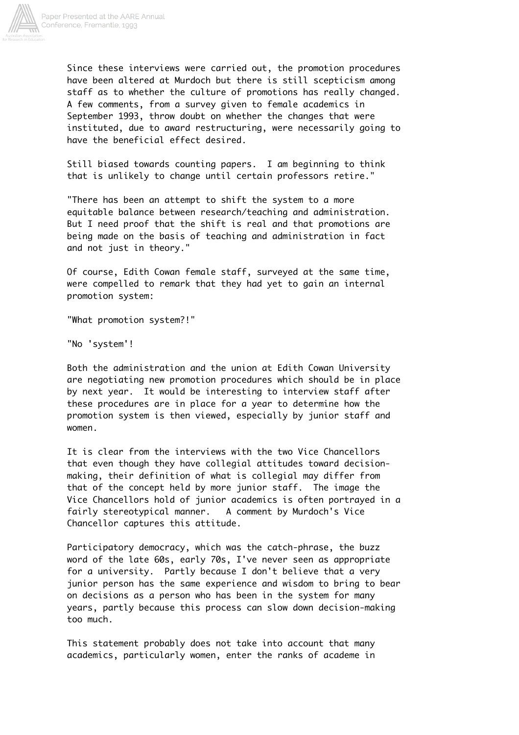

Since these interviews were carried out, the promotion procedures have been altered at Murdoch but there is still scepticism among staff as to whether the culture of promotions has really changed. A few comments, from a survey given to female academics in September 1993, throw doubt on whether the changes that were instituted, due to award restructuring, were necessarily going to have the beneficial effect desired.

Still biased towards counting papers. I am beginning to think that is unlikely to change until certain professors retire."

"There has been an attempt to shift the system to a more equitable balance between research/teaching and administration. But I need proof that the shift is real and that promotions are being made on the basis of teaching and administration in fact and not just in theory."

Of course, Edith Cowan female staff, surveyed at the same time, were compelled to remark that they had yet to gain an internal promotion system:

"What promotion system?!"

"No 'system'!

Both the administration and the union at Edith Cowan University are negotiating new promotion procedures which should be in place by next year. It would be interesting to interview staff after these procedures are in place for a year to determine how the promotion system is then viewed, especially by junior staff and women.

It is clear from the interviews with the two Vice Chancellors that even though they have collegial attitudes toward decisionmaking, their definition of what is collegial may differ from that of the concept held by more junior staff. The image the Vice Chancellors hold of junior academics is often portrayed in a fairly stereotypical manner. A comment by Murdoch's Vice Chancellor captures this attitude.

Participatory democracy, which was the catch-phrase, the buzz word of the late 60s, early 70s, I've never seen as appropriate for a university. Partly because I don't believe that a very junior person has the same experience and wisdom to bring to bear on decisions as a person who has been in the system for many years, partly because this process can slow down decision-making too much.

This statement probably does not take into account that many academics, particularly women, enter the ranks of academe in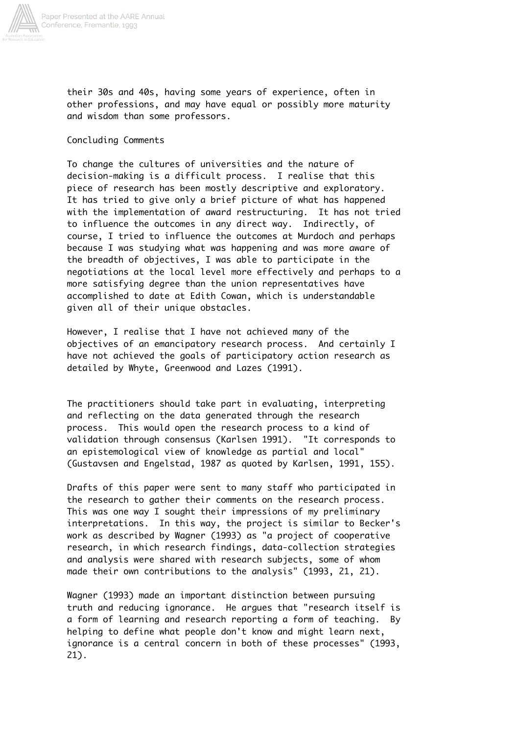

their 30s and 40s, having some years of experience, often in other professions, and may have equal or possibly more maturity and wisdom than some professors.

## Concluding Comments

To change the cultures of universities and the nature of decision-making is a difficult process. I realise that this piece of research has been mostly descriptive and exploratory. It has tried to give only a brief picture of what has happened with the implementation of award restructuring. It has not tried to influence the outcomes in any direct way. Indirectly, of course, I tried to influence the outcomes at Murdoch and perhaps because I was studying what was happening and was more aware of the breadth of objectives, I was able to participate in the negotiations at the local level more effectively and perhaps to a more satisfying degree than the union representatives have accomplished to date at Edith Cowan, which is understandable given all of their unique obstacles.

However, I realise that I have not achieved many of the objectives of an emancipatory research process. And certainly I have not achieved the goals of participatory action research as detailed by Whyte, Greenwood and Lazes (1991).

The practitioners should take part in evaluating, interpreting and reflecting on the data generated through the research process. This would open the research process to a kind of validation through consensus (Karlsen 1991). "It corresponds to an epistemological view of knowledge as partial and local" (Gustavsen and Engelstad, 1987 as quoted by Karlsen, 1991, 155).

Drafts of this paper were sent to many staff who participated in the research to gather their comments on the research process. This was one way I sought their impressions of my preliminary interpretations. In this way, the project is similar to Becker's work as described by Wagner (1993) as "a project of cooperative research, in which research findings, data-collection strategies and analysis were shared with research subjects, some of whom made their own contributions to the analysis" (1993, 21, 21).

Wagner (1993) made an important distinction between pursuing truth and reducing ignorance. He argues that "research itself is a form of learning and research reporting a form of teaching. By helping to define what people don't know and might learn next, ignorance is a central concern in both of these processes" (1993, 21).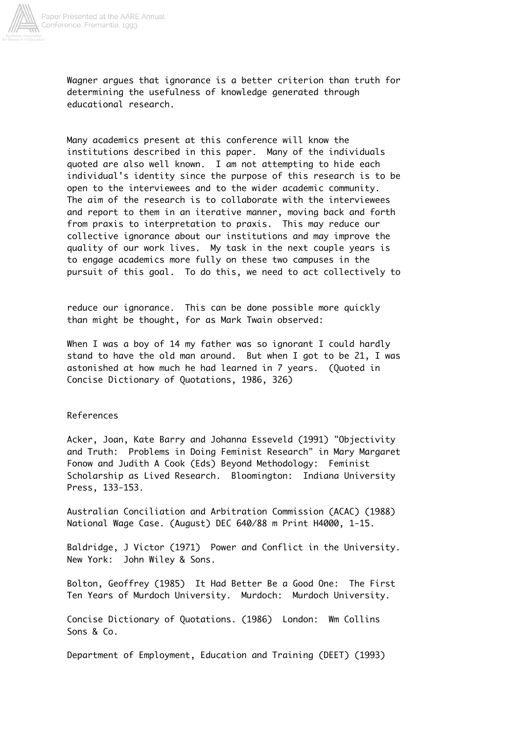

Wagner argues that ignorance is a better criterion than truth for determining the usefulness of knowledge generated through educational research.

Many academics present at this conference will know the institutions described in this paper. Many of the individuals quoted are also well known. I am not attempting to hide each individual's identity since the purpose of this research is to be open to the interviewees and to the wider academic community. The aim of the research is to collaborate with the interviewees and report to them in an iterative manner, moving back and forth from praxis to interpretation to praxis. This may reduce our collective ignorance about our institutions and may improve the quality of our work lives. My task in the next couple years is to engage academics more fully on these two campuses in the pursuit of this goal. To do this, we need to act collectively to

reduce our ignorance. This can be done possible more quickly than might be thought, for as Mark Twain observed:

When I was a boy of 14 my father was so ignorant I could hardly stand to have the old man around. But when I got to be 21, I was astonished at how much he had learned in 7 years. (Quoted in Concise Dictionary of Quotations, 1986, 326)

## References

Acker, Joan, Kate Barry and Johanna Esseveld (1991) "Objectivity and Truth: Problems in Doing Feminist Research" in Mary Margaret Fonow and Judith A Cook (Eds) Beyond Methodology: Feminist Scholarship as Lived Research. Bloomington: Indiana University Press, 133-153.

Australian Conciliation and Arbitration Commission (ACAC) (1988) National Wage Case. (August) DEC 640/88 m Print H4000, 1-15.

Baldridge, J Victor (1971) Power and Conflict in the University. New York: John Wiley & Sons.

Bolton, Geoffrey (1985) It Had Better Be a Good One: The First Ten Years of Murdoch University. Murdoch: Murdoch University.

Concise Dictionary of Quotations. (1986) London: Wm Collins Sons & Co.

Department of Employment, Education and Training (DEET) (1993)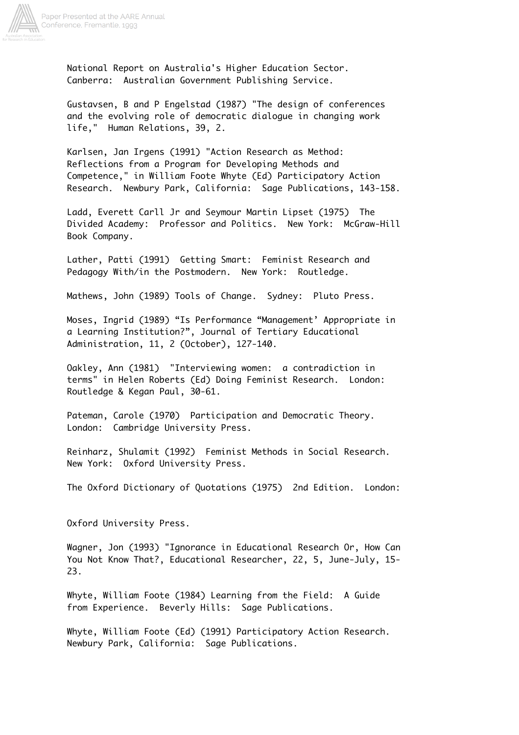

National Report on Australia's Higher Education Sector. Canberra: Australian Government Publishing Service.

Gustavsen, B and P Engelstad (1987) "The design of conferences and the evolving role of democratic dialogue in changing work life," Human Relations, 39, 2.

Karlsen, Jan Irgens (1991) "Action Research as Method: Reflections from a Program for Developing Methods and Competence," in William Foote Whyte (Ed) Participatory Action Research. Newbury Park, California: Sage Publications, 143-158.

Ladd, Everett Carll Jr and Seymour Martin Lipset (1975) The Divided Academy: Professor and Politics. New York: McGraw-Hill Book Company.

Lather, Patti (1991) Getting Smart: Feminist Research and Pedagogy With/in the Postmodern. New York: Routledge.

Mathews, John (1989) Tools of Change. Sydney: Pluto Press.

Moses, Ingrid (1989) "Is Performance "Management' Appropriate in a Learning Institution?", Journal of Tertiary Educational Administration, 11, 2 (October), 127-140.

Oakley, Ann (1981) "Interviewing women: a contradiction in terms" in Helen Roberts (Ed) Doing Feminist Research. London: Routledge & Kegan Paul, 30-61.

Pateman, Carole (1970) Participation and Democratic Theory. London: Cambridge University Press.

Reinharz, Shulamit (1992) Feminist Methods in Social Research. New York: Oxford University Press.

The Oxford Dictionary of Quotations (1975) 2nd Edition. London:

Oxford University Press.

Wagner, Jon (1993) "Ignorance in Educational Research Or, How Can You Not Know That?, Educational Researcher, 22, 5, June-July, 15- 23.

Whyte, William Foote (1984) Learning from the Field: A Guide from Experience. Beverly Hills: Sage Publications.

Whyte, William Foote (Ed) (1991) Participatory Action Research. Newbury Park, California: Sage Publications.